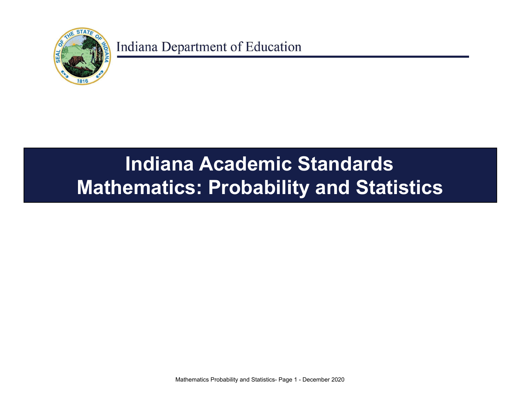

# **Indiana Academic Standards Mathematics: Probability and Statistics**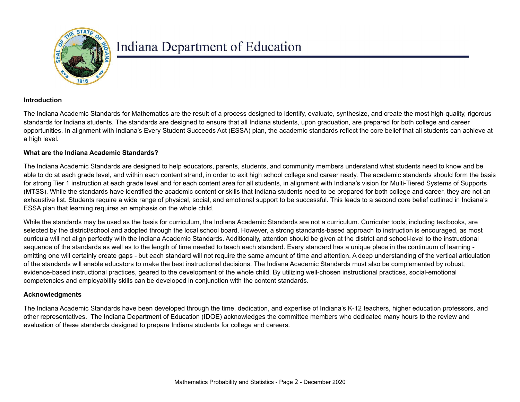

#### **Introduction**

The Indiana Academic Standards for Mathematics are the result of a process designed to identify, evaluate, synthesize, and create the most high-quality, rigorous standards for Indiana students. The standards are designed to ensure that all Indiana students, upon graduation, are prepared for both college and career opportunities. In alignment with Indiana's Every Student Succeeds Act (ESSA) plan, the academic standards reflect the core belief that all students can achieve at a high level.

#### **What are the Indiana Academic Standards?**

The Indiana Academic Standards are designed to help educators, parents, students, and community members understand what students need to know and be able to do at each grade level, and within each content strand, in order to exit high school college and career ready. The academic standards should form the basis for strong Tier 1 instruction at each grade level and for each content area for all students, in alignment with Indiana's vision for Multi-Tiered Systems of Supports (MTSS). While the standards have identified the academic content or skills that Indiana students need to be prepared for both college and career, they are not an exhaustive list. Students require a wide range of physical, social, and emotional support to be successful. This leads to a second core belief outlined in Indiana's ESSA plan that learning requires an emphasis on the whole child.

While the standards may be used as the basis for curriculum, the Indiana Academic Standards are not a curriculum. Curricular tools, including textbooks, are selected by the district/school and adopted through the local school board. However, a strong standards-based approach to instruction is encouraged, as most curricula will not align perfectly with the Indiana Academic Standards. Additionally, attention should be given at the district and school-level to the instructional sequence of the standards as well as to the length of time needed to teach each standard. Every standard has a unique place in the continuum of learning omitting one will certainly create gaps - but each standard will not require the same amount of time and attention. A deep understanding of the vertical articulation of the standards will enable educators to make the best instructional decisions. The Indiana Academic Standards must also be complemented by robust, evidence-based instructional practices, geared to the development of the whole child. By utilizing well-chosen instructional practices, social-emotional competencies and employability skills can be developed in conjunction with the content standards.

#### **Acknowledgments**

The Indiana Academic Standards have been developed through the time, dedication, and expertise of Indiana's K-12 teachers, higher education professors, and other representatives. The Indiana Department of Education (IDOE) acknowledges the committee members who dedicated many hours to the review and evaluation of these standards designed to prepare Indiana students for college and careers.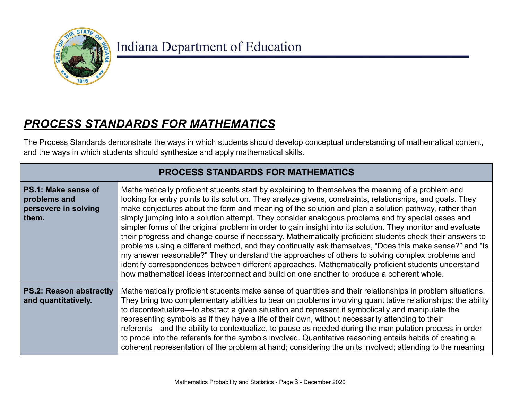

## *PROCESS STANDARDS FOR MATHEMATICS*

The Process Standards demonstrate the ways in which students should develop conceptual understanding of mathematical content, and the ways in which students should synthesize and apply mathematical skills.

| <b>PROCESS STANDARDS FOR MATHEMATICS</b>                             |                                                                                                                                                                                                                                                                                                                                                                                                                                                                                                                                                                                                                                                                                                                                                                                                                                                                                                                                                                                                                                                                             |
|----------------------------------------------------------------------|-----------------------------------------------------------------------------------------------------------------------------------------------------------------------------------------------------------------------------------------------------------------------------------------------------------------------------------------------------------------------------------------------------------------------------------------------------------------------------------------------------------------------------------------------------------------------------------------------------------------------------------------------------------------------------------------------------------------------------------------------------------------------------------------------------------------------------------------------------------------------------------------------------------------------------------------------------------------------------------------------------------------------------------------------------------------------------|
| PS.1: Make sense of<br>problems and<br>persevere in solving<br>them. | Mathematically proficient students start by explaining to themselves the meaning of a problem and<br>looking for entry points to its solution. They analyze givens, constraints, relationships, and goals. They<br>make conjectures about the form and meaning of the solution and plan a solution pathway, rather than<br>simply jumping into a solution attempt. They consider analogous problems and try special cases and<br>simpler forms of the original problem in order to gain insight into its solution. They monitor and evaluate<br>their progress and change course if necessary. Mathematically proficient students check their answers to<br>problems using a different method, and they continually ask themselves, "Does this make sense?" and "Is<br>my answer reasonable?" They understand the approaches of others to solving complex problems and<br>identify correspondences between different approaches. Mathematically proficient students understand<br>how mathematical ideas interconnect and build on one another to produce a coherent whole. |
| <b>PS.2: Reason abstractly</b><br>and quantitatively.                | Mathematically proficient students make sense of quantities and their relationships in problem situations.<br>They bring two complementary abilities to bear on problems involving quantitative relationships: the ability<br>to decontextualize—to abstract a given situation and represent it symbolically and manipulate the<br>representing symbols as if they have a life of their own, without necessarily attending to their<br>referents—and the ability to contextualize, to pause as needed during the manipulation process in order<br>to probe into the referents for the symbols involved. Quantitative reasoning entails habits of creating a<br>coherent representation of the problem at hand; considering the units involved; attending to the meaning                                                                                                                                                                                                                                                                                                     |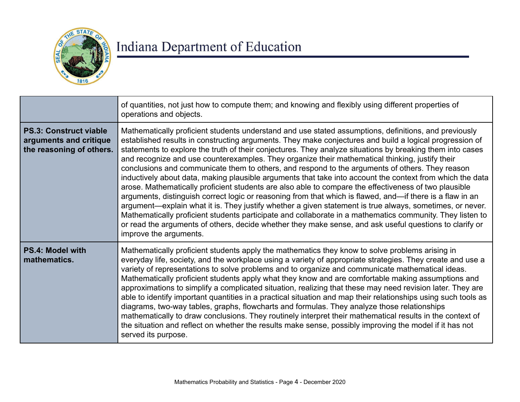

|                                                                                     | of quantities, not just how to compute them; and knowing and flexibly using different properties of<br>operations and objects.                                                                                                                                                                                                                                                                                                                                                                                                                                                                                                                                                                                                                                                                                                                                                                                                                                                                                                                                                                                                                                                                                                       |
|-------------------------------------------------------------------------------------|--------------------------------------------------------------------------------------------------------------------------------------------------------------------------------------------------------------------------------------------------------------------------------------------------------------------------------------------------------------------------------------------------------------------------------------------------------------------------------------------------------------------------------------------------------------------------------------------------------------------------------------------------------------------------------------------------------------------------------------------------------------------------------------------------------------------------------------------------------------------------------------------------------------------------------------------------------------------------------------------------------------------------------------------------------------------------------------------------------------------------------------------------------------------------------------------------------------------------------------|
| <b>PS.3: Construct viable</b><br>arguments and critique<br>the reasoning of others. | Mathematically proficient students understand and use stated assumptions, definitions, and previously<br>established results in constructing arguments. They make conjectures and build a logical progression of<br>statements to explore the truth of their conjectures. They analyze situations by breaking them into cases<br>and recognize and use counterexamples. They organize their mathematical thinking, justify their<br>conclusions and communicate them to others, and respond to the arguments of others. They reason<br>inductively about data, making plausible arguments that take into account the context from which the data<br>arose. Mathematically proficient students are also able to compare the effectiveness of two plausible<br>arguments, distinguish correct logic or reasoning from that which is flawed, and—if there is a flaw in an<br>argument—explain what it is. They justify whether a given statement is true always, sometimes, or never.<br>Mathematically proficient students participate and collaborate in a mathematics community. They listen to<br>or read the arguments of others, decide whether they make sense, and ask useful questions to clarify or<br>improve the arguments. |
| <b>PS.4: Model with</b><br>mathematics.                                             | Mathematically proficient students apply the mathematics they know to solve problems arising in<br>everyday life, society, and the workplace using a variety of appropriate strategies. They create and use a<br>variety of representations to solve problems and to organize and communicate mathematical ideas.<br>Mathematically proficient students apply what they know and are comfortable making assumptions and<br>approximations to simplify a complicated situation, realizing that these may need revision later. They are<br>able to identify important quantities in a practical situation and map their relationships using such tools as<br>diagrams, two-way tables, graphs, flowcharts and formulas. They analyze those relationships<br>mathematically to draw conclusions. They routinely interpret their mathematical results in the context of<br>the situation and reflect on whether the results make sense, possibly improving the model if it has not<br>served its purpose.                                                                                                                                                                                                                                |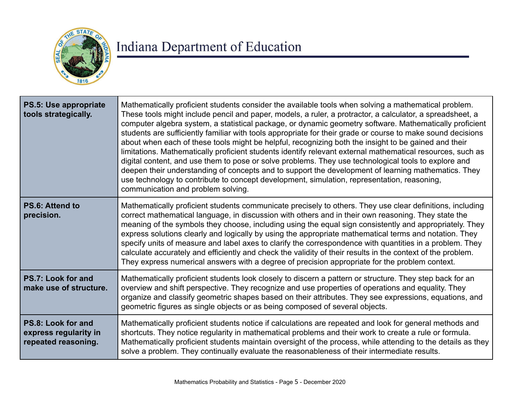

| PS.5: Use appropriate<br>tools strategically.                      | Mathematically proficient students consider the available tools when solving a mathematical problem.<br>These tools might include pencil and paper, models, a ruler, a protractor, a calculator, a spreadsheet, a<br>computer algebra system, a statistical package, or dynamic geometry software. Mathematically proficient<br>students are sufficiently familiar with tools appropriate for their grade or course to make sound decisions<br>about when each of these tools might be helpful, recognizing both the insight to be gained and their<br>limitations. Mathematically proficient students identify relevant external mathematical resources, such as<br>digital content, and use them to pose or solve problems. They use technological tools to explore and<br>deepen their understanding of concepts and to support the development of learning mathematics. They<br>use technology to contribute to concept development, simulation, representation, reasoning,<br>communication and problem solving. |
|--------------------------------------------------------------------|-----------------------------------------------------------------------------------------------------------------------------------------------------------------------------------------------------------------------------------------------------------------------------------------------------------------------------------------------------------------------------------------------------------------------------------------------------------------------------------------------------------------------------------------------------------------------------------------------------------------------------------------------------------------------------------------------------------------------------------------------------------------------------------------------------------------------------------------------------------------------------------------------------------------------------------------------------------------------------------------------------------------------|
| <b>PS.6: Attend to</b><br>precision.                               | Mathematically proficient students communicate precisely to others. They use clear definitions, including<br>correct mathematical language, in discussion with others and in their own reasoning. They state the<br>meaning of the symbols they choose, including using the equal sign consistently and appropriately. They<br>express solutions clearly and logically by using the appropriate mathematical terms and notation. They<br>specify units of measure and label axes to clarify the correspondence with quantities in a problem. They<br>calculate accurately and efficiently and check the validity of their results in the context of the problem.<br>They express numerical answers with a degree of precision appropriate for the problem context.                                                                                                                                                                                                                                                    |
| PS.7: Look for and<br>make use of structure.                       | Mathematically proficient students look closely to discern a pattern or structure. They step back for an<br>overview and shift perspective. They recognize and use properties of operations and equality. They<br>organize and classify geometric shapes based on their attributes. They see expressions, equations, and<br>geometric figures as single objects or as being composed of several objects.                                                                                                                                                                                                                                                                                                                                                                                                                                                                                                                                                                                                              |
| PS.8: Look for and<br>express regularity in<br>repeated reasoning. | Mathematically proficient students notice if calculations are repeated and look for general methods and<br>shortcuts. They notice regularity in mathematical problems and their work to create a rule or formula.<br>Mathematically proficient students maintain oversight of the process, while attending to the details as they<br>solve a problem. They continually evaluate the reasonableness of their intermediate results.                                                                                                                                                                                                                                                                                                                                                                                                                                                                                                                                                                                     |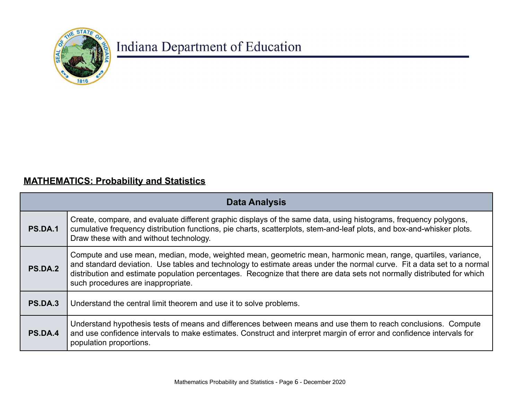

### **MATHEMATICS: Probability and Statistics**

| <b>Data Analysis</b> |                                                                                                                                                                                                                                                                                                                                                                                                          |
|----------------------|----------------------------------------------------------------------------------------------------------------------------------------------------------------------------------------------------------------------------------------------------------------------------------------------------------------------------------------------------------------------------------------------------------|
| <b>PS.DA.1</b>       | Create, compare, and evaluate different graphic displays of the same data, using histograms, frequency polygons,<br>cumulative frequency distribution functions, pie charts, scatterplots, stem-and-leaf plots, and box-and-whisker plots.<br>Draw these with and without technology.                                                                                                                    |
| <b>PS.DA.2</b>       | Compute and use mean, median, mode, weighted mean, geometric mean, harmonic mean, range, quartiles, variance,<br>and standard deviation. Use tables and technology to estimate areas under the normal curve. Fit a data set to a normal<br>distribution and estimate population percentages. Recognize that there are data sets not normally distributed for which<br>such procedures are inappropriate. |
| <b>PS.DA.3</b>       | Understand the central limit theorem and use it to solve problems.                                                                                                                                                                                                                                                                                                                                       |
| <b>PS.DA.4</b>       | Understand hypothesis tests of means and differences between means and use them to reach conclusions. Compute<br>and use confidence intervals to make estimates. Construct and interpret margin of error and confidence intervals for<br>population proportions.                                                                                                                                         |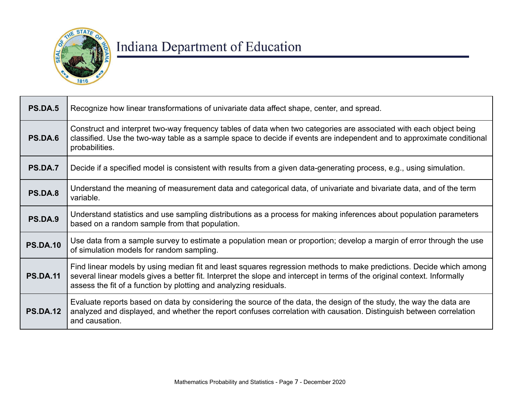

| <b>PS.DA.5</b>  | Recognize how linear transformations of univariate data affect shape, center, and spread.                                                                                                                                                                                                                            |
|-----------------|----------------------------------------------------------------------------------------------------------------------------------------------------------------------------------------------------------------------------------------------------------------------------------------------------------------------|
| <b>PS.DA.6</b>  | Construct and interpret two-way frequency tables of data when two categories are associated with each object being<br>classified. Use the two-way table as a sample space to decide if events are independent and to approximate conditional<br>probabilities.                                                       |
| <b>PS.DA.7</b>  | Decide if a specified model is consistent with results from a given data-generating process, e.g., using simulation.                                                                                                                                                                                                 |
| <b>PS.DA.8</b>  | Understand the meaning of measurement data and categorical data, of univariate and bivariate data, and of the term<br>variable.                                                                                                                                                                                      |
| <b>PS.DA.9</b>  | Understand statistics and use sampling distributions as a process for making inferences about population parameters<br>based on a random sample from that population.                                                                                                                                                |
| <b>PS.DA.10</b> | Use data from a sample survey to estimate a population mean or proportion; develop a margin of error through the use<br>of simulation models for random sampling.                                                                                                                                                    |
| <b>PS.DA.11</b> | Find linear models by using median fit and least squares regression methods to make predictions. Decide which among<br>several linear models gives a better fit. Interpret the slope and intercept in terms of the original context. Informally<br>assess the fit of a function by plotting and analyzing residuals. |
| <b>PS.DA.12</b> | Evaluate reports based on data by considering the source of the data, the design of the study, the way the data are<br>analyzed and displayed, and whether the report confuses correlation with causation. Distinguish between correlation<br>and causation.                                                         |

┑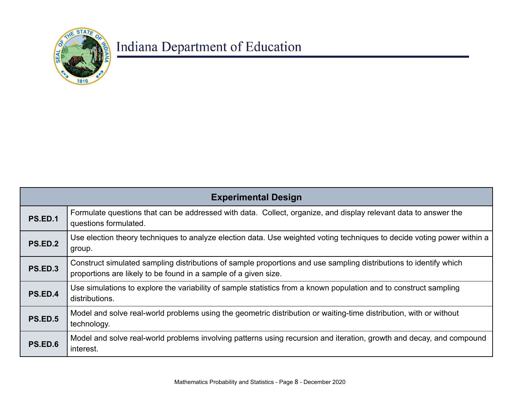

| <b>Experimental Design</b> |                                                                                                                                                                                      |
|----------------------------|--------------------------------------------------------------------------------------------------------------------------------------------------------------------------------------|
| <b>PS.ED.1</b>             | Formulate questions that can be addressed with data. Collect, organize, and display relevant data to answer the<br>questions formulated.                                             |
| <b>PS.ED.2</b>             | Use election theory techniques to analyze election data. Use weighted voting techniques to decide voting power within a<br>group.                                                    |
| <b>PS.ED.3</b>             | Construct simulated sampling distributions of sample proportions and use sampling distributions to identify which<br>proportions are likely to be found in a sample of a given size. |
| <b>PS.ED.4</b>             | Use simulations to explore the variability of sample statistics from a known population and to construct sampling<br>distributions.                                                  |
| <b>PS.ED.5</b>             | Model and solve real-world problems using the geometric distribution or waiting-time distribution, with or without<br>technology.                                                    |
| <b>PS.ED.6</b>             | Model and solve real-world problems involving patterns using recursion and iteration, growth and decay, and compound<br>interest.                                                    |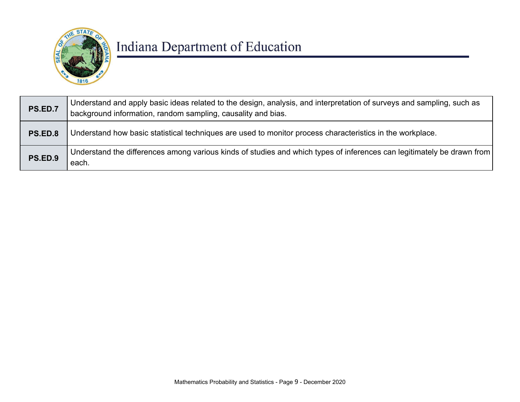

| <b>PS.ED.7</b> | Understand and apply basic ideas related to the design, analysis, and interpretation of surveys and sampling, such as<br>background information, random sampling, causality and bias. |
|----------------|---------------------------------------------------------------------------------------------------------------------------------------------------------------------------------------|
| <b>PS.ED.8</b> | Understand how basic statistical techniques are used to monitor process characteristics in the workplace.                                                                             |
| PS.ED.9        | Understand the differences among various kinds of studies and which types of inferences can legitimately be drawn from<br>each.                                                       |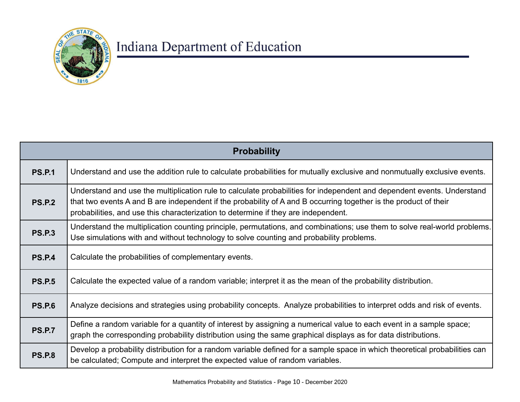

| <b>Probability</b> |                                                                                                                                                                                                                                                                                                                                  |
|--------------------|----------------------------------------------------------------------------------------------------------------------------------------------------------------------------------------------------------------------------------------------------------------------------------------------------------------------------------|
| <b>PS.P.1</b>      | Understand and use the addition rule to calculate probabilities for mutually exclusive and nonmutually exclusive events.                                                                                                                                                                                                         |
| <b>PS.P.2</b>      | Understand and use the multiplication rule to calculate probabilities for independent and dependent events. Understand<br>that two events A and B are independent if the probability of A and B occurring together is the product of their<br>probabilities, and use this characterization to determine if they are independent. |
| <b>PS.P.3</b>      | Understand the multiplication counting principle, permutations, and combinations; use them to solve real-world problems.<br>Use simulations with and without technology to solve counting and probability problems.                                                                                                              |
| <b>PS.P.4</b>      | Calculate the probabilities of complementary events.                                                                                                                                                                                                                                                                             |
| <b>PS.P.5</b>      | Calculate the expected value of a random variable; interpret it as the mean of the probability distribution.                                                                                                                                                                                                                     |
| <b>PS.P.6</b>      | Analyze decisions and strategies using probability concepts. Analyze probabilities to interpret odds and risk of events.                                                                                                                                                                                                         |
| <b>PS.P.7</b>      | Define a random variable for a quantity of interest by assigning a numerical value to each event in a sample space;<br>graph the corresponding probability distribution using the same graphical displays as for data distributions.                                                                                             |
| <b>PS.P.8</b>      | Develop a probability distribution for a random variable defined for a sample space in which theoretical probabilities can<br>be calculated; Compute and interpret the expected value of random variables.                                                                                                                       |